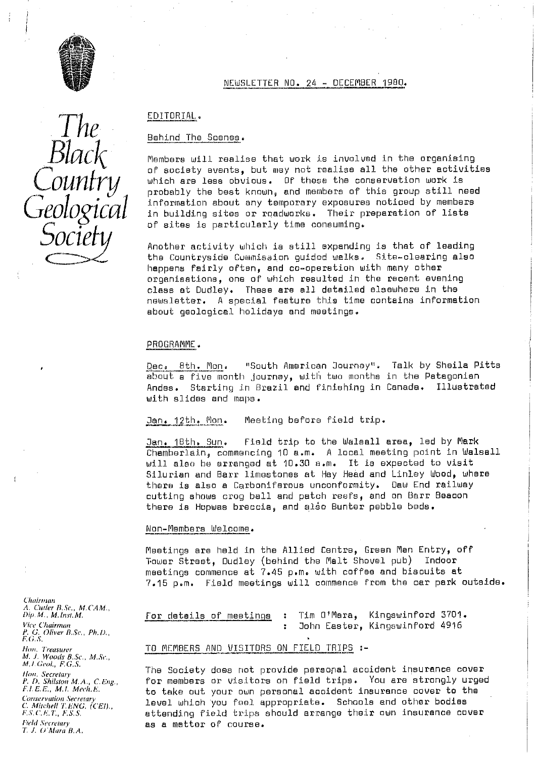

*The*<br>*Black*<br>*Country* 

*Societ*

### NEWSLETTER NO. 24 - DECEMBER 1980.

## EDITORIAL.

### Behind The Scenes .

Members will realise that work is involved in the organising of society events, but may not realise all the other activities<br>which are less obvious. Of these the conservation work is  $\mathcal{L}$  *OUNITY , which are less obvious.* Of these the conservation work is proup still need information about any temporary exposures noticed by members in building sites or roadworks. Their preparation of lists of sites is particularly time consuming. The Scenes.<br>
will realise that work is involved in the organising<br>
ety events, but may not realise all the other activit<br>
re less obvious. Of these the conservation work is<br>
y the best known, and members of this group stil

the Countryside Cummission guided walks. Site-clearing also happens fairly often, and co-operation with many other organisations, one oP which resulted in the recent evening class at Dudley. These are all detailed elsewhere in the newsletter. A special feature this time contains information about geological holidays and meetings.

### PROGRAMME.

Dec. 8th. Mon. "South American Journey". Talk by Sheila Pitts about a five month journey, with two months in the Patagonian Andes. Starting in Brazil and finishing in Canada. Illustrated with slides and maps.

Jan. 12th. Mon. Meeting before field trip.

Jan. 18th. Sun. Field trip to the Walsall area, led by Mark Chamberlain, commencing 10 a.m. A local meeting point in Walsall will also he arranged at 10.30 a.m. It is expected to visit Silurian and Barr limestones at Hey Head and Linley Woody where there is also a Carboniferous unconformity. Dew End railway cutting shows crog ball and patch reefs, and on Berr Beacon there is Hopwas breccia, and also Bunter pebble beds.

#### Non-Members Welcome.

Meetings are held in the Allied Centre, Green Man Entry, off Tower Street, Dudley (behind the Malt Shovel pub) Indoor meetings commence at 7.45 p.m. with coffee and biscuits at 7.15 p.m. Field meetings will commence from the car perk outside.

ap.M., M, Inst.M. **For details of meetings** : Tim O'Mara, Kingswinford 3701.<br>Vice Chairman **B** John Easter, Kingswinford 4916

### TO MEMBERS AND VISITORS ON FIELD TRIPS :-

The Society does not provide personal accident insurance cover<br>P.D. Shilston M.A., C.Eng., The members or visitors on field trips. You are strongly urget for members or visitors on field trips. You are strongly urged to take out your own personal accident insurance cover to the *C. Mitchel! '1'. hNG. (CE!).,* level which you feel appropriate. Schools and other bodies *F.S.C.E.T., F.S.S.*  $\overline{S}$ .  $\overline{S}$   $\overline{S}$   $\overline{S}$  attending field trips should arrange their own insurance cover as a matter of course.

Chairman *A. C'uuler R..Sr., M.C'AM., Y. G. Oliver ii. Sc, Phi).,* **F 0.5.** *If. J. Woods B.Sc., M.Se., M, I. Geol.*, *F.G.S. FLEE., M.1. Mech.F, Conservation Secretary*<br>*C. Mitchell T.ENG. (CEI).*,

*T. J.* O *'hlrr*ra *BA,*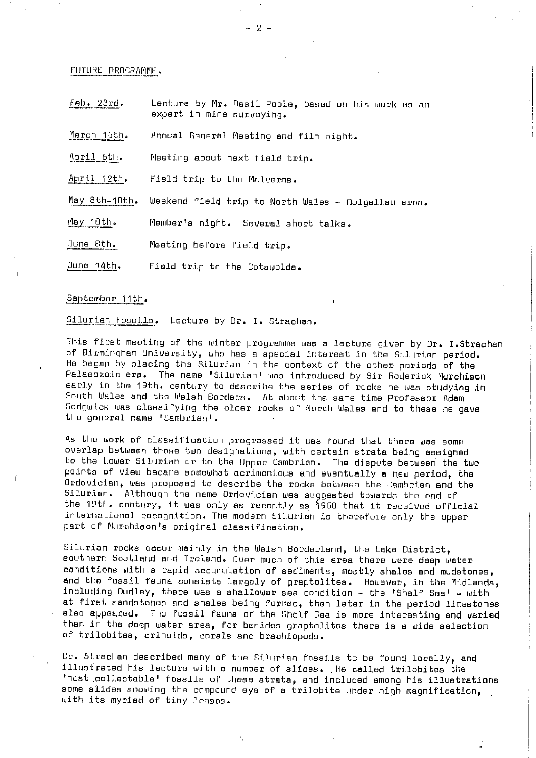#### FUTURE PROGRAMME

| Feb. 23rd.    | Lecture by Mr. Basil Poole, based on his work as an<br>expert in mine surveying. |  |  |
|---------------|----------------------------------------------------------------------------------|--|--|
| March 16th.   | Annual General Meeting and film night.                                           |  |  |
| April 6th.    | Meeting about next field trip.                                                   |  |  |
| April 12th.   | Field trip to the Malverns.                                                      |  |  |
| May 8th-10th. | Weekend field trip to North Wales - Dolgellau area.                              |  |  |
| May 18th.     | Member's night. Several short talks.                                             |  |  |
| June 8th.     | Meeting before field trip.                                                       |  |  |
| June 14th.    | Field trip to the Cotswolds.                                                     |  |  |

# September 11th.

Silurian fossils. Lecture by Dr. I. Strachan.

This first meeting of the winter programme was a lecture given by Dr. I.Strechan of Birmingham University, who has a special interest in the Silurian period. He began by placing the Silurian in the context of the other periods of the Palaeozoic era. The name 'Silurian' was introduced by Sir Roderick Murchison early in the 19th. century to describe the series of rocks he was studying in South Wales and the Walsh Borders. At about the same time Professor Adam Sedgwick was classifying the older rocks of North Wales and to these he gave the general name 'Cambrian'.

As the work of classification progressed it was found that there was some overlap between those two designations, with certain strata being assigned to the Lower Silurian or to the Upper Cambrian. The dispute between the two points of view became somewhat acrimonious and eventually a new period, the Ordovician, was proposed to describe the rocks between the Cambrian and the Silurian. Although the name Ordovician was suggested towards the end of the 19th. century, it was only as recently as 1960 that it received official international recognition. The modern Silurian is therefore only the upper part of Murchison's original classification.

Silurian rocks occur mainly in the Welsh Borderland, the Lake District, southern Scotland and Ireland. Over much of this area there were deep water conditions with a rapid accumulation of sediments, mostly shales and mudstonee, and the fossil fauna consists largely of graptolites. However, in the Midlands, including Dudley, there was a shallower sea condition - the 'Shelf Sea' - with at first sandstones and shales being formed, then later in the period limestones also appeared. The fossil fauna of the Shelf Sea is more interesting and varied than in the deep water area, for besides graptolites there is a wide selection of trilobites, crinoids, corals and brachiopods.

Dr. Strachan described many of the Silurian fossils to be found locally, and illustrated his lecture with a number of slides. He called trilobites the 'most . collectable <sup>l</sup> fossils of these strata, and included among his illustrations some slides showing the compound eye of a trilobite under high magnification, with its myriad of tiny lenses.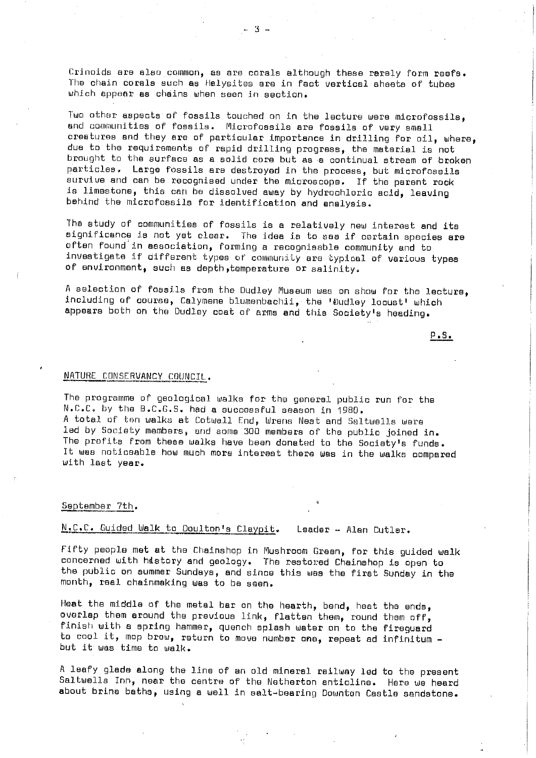Crinoids are also common, as are corals although these rarely form reefs. The chain corals such as Helysites are in fact vertical sheets of tubes which appear as chains when seen in section.

Two other aspects of fossils touched on in the lecture were microfossils, and communities of fossils. Microfoesils are fossils of very small creatures and they are of particular importance in drilling for oil, where, due to the requirements of rapid drilling progress, the material is not brought to the surface as a solid core but as -a continual stream of broken particles. Large fossils are destroyed in the process, but microfossils survive and can be recognised under the microscope. If the parent rock is limestone, this can be dissolved away by hydrochloric acid, leaving behind the microfossils for identification and analysis.

The study of communities of fossils is a relatively new interest and its significance is not yet clear. The idea is to see if certain species are often found in association, forming a recognisable community and to investigate if different types of community are typical of various types of environment, such as depth, temperature or salinity.

A selection of fossils from the Dudley Museum was on show for the lecture, including of course, Calymene blumenbachii, the 'Dudley locust' which appears both on the Dudley coat of arms and this Society's heading.

P'S.

### NATURE CONSERVANCY COUNCIL.

The programme of geological walks for the general public run for the N.C.C. by the B.C.G.S. had a successrul season in 1980. A total of ten walks at Cotwall End, Wrens Nest and Saltwells were led by Society members, end some 300 members of the public joined in. The profits from these walks have been donated to the Society's funds. It was noticeable how much more interest there was in the walks compared with last year.

# September 7th.

# N.C.C. Guided Walk to Doulton's Claypit. Leader - Alan Cutler.

Fifty people met at the Chainshop in Mushroom Green, for this guided walk concerned with history and geology. The restored Chainshop is open to the public on summer Sundays, and since this was the first Sunday in the month, real chainmaking was to be seen.

Heat the middle of the metal bar on the hearth, bend, heat the ends, overlap them around the previous link, flatten them, round them off, finish with a spring hammer, quench splash water on to the fireguerd to cool it, mop brow, return to move number one, repeat ad infinitum but it was time to walk.

A leafy glade along the line of an old mineral railway led to the present Saitwells Inn, near the centre of the Netherton anticline. Here we heard about brine baths, using a well in salt-bearing Downtan Castle sandstone.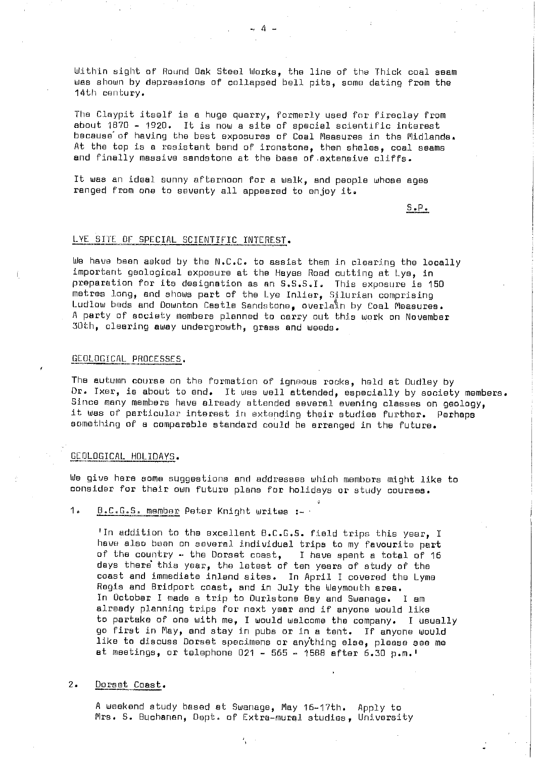Within sight of Round Oak Steel Works, the line of the Thick coal seam was shown by depressions of collapsed bell pits, some dating from the 14th century.

The Claypit itself is a huge quarry, formerly used for fireclay from about 1870 - 1920. It is now a site of special scientific interest because' of having the best exposures of Coal Measures in the Midlands. At the top is a resistant band of ironstone, then shales, coal seams and finally massive sandstone at the base of extensive cliffs.

It was an ideal sunny afternoon for a walk, and people whose ages ranged from one to seventy all appeared to enjoy it.

S.P.

#### LYE SITE OF SPECIAL SCIENTIFIC INTEREST.

We have been asked by the N.C.C. to assist them in clearing the locally important geological exposure at the Hayes Road cutting at Lye, in preparation for its designation as an S.S.S.I. This exposure is 150 metres long, and shows part of the Lye Inlier, Silurian comprising Ludlow beds and Uownton Castle Sandstone, overlain by Coal Measures. A party of society members planned to carry out this work on November 30th, clearing away undergrowth, grass and weeds.

#### GE OLOG ICAL PROCESSES.

The autumn course on the formation of igneous rooks, held at Dudley by Dr. Txer, is about to end. It was well attended, especially by society **members. Since** many members have already attended several evening classes on geology, it was of particular interest in extending their studies further. Perhaps something of a comparable standard could be arranged in the future.

#### GEOLOGICAL HOLIDAYS.

We give here some suggestions and addresses which members might like to consider for their own future plans for holidays or study courses.

1. B.C.G.S. member Peter Knight writes :-

'In addition to the excellent B.C.G.S. field trips this year, I have also been on several individual trips to my favourite part of the country - the Dorset coast, I have spent a total of 16 days there` this year, the latest of ten years of study of the coast and immediate inland sites. In April I covered the Lyme Regis and Bridport coast, and in July the Weymouth area. In October I made a trip to Durlstone Bay and Swanage. I am already planning trips for next year and if anyone would like to partake of one with me, I would welcome the company. I usually go first in May, and stay in pubs or in a tent. If anyone would like to discuss Dorset specimens or anything else, **please see me** at meetings, or telephone 021 - 565 - 1588 after 6.30 p.m.'

### 2. Dorset Coast.

A weekend study based at Swanage, May 16--17th. Apply to Mrs. S. Buchanan, Dept. of Extra-mural studies, University

... A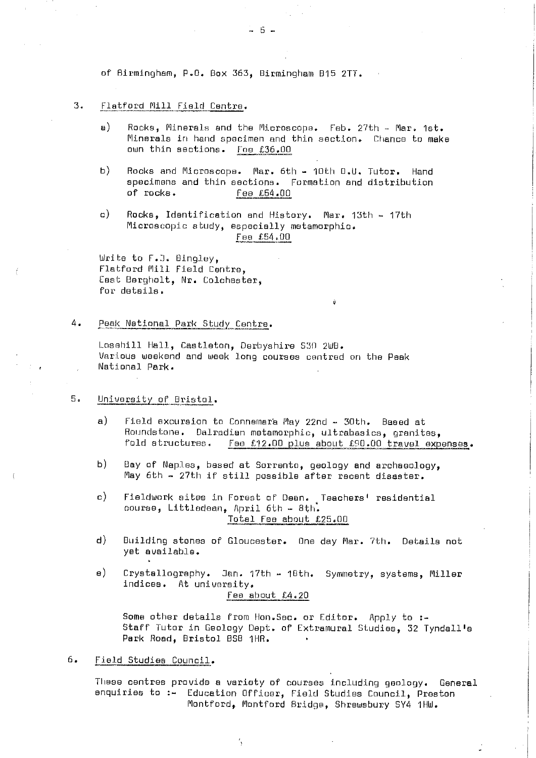of Birmingham, P.O. Box 363, Birmingham B15 2TT.

## 3. Flatford Mill Field Centre.

- a) Rocks, Minerals and the Microscope. Feb. 27th Mar. 1st. Minerals in hand specimen and thin section. Chance to make own thin sections. Foe £36 .00
- b) Rocks and Microscope. Mar. 6th 10th D.U. Tutor. Hand specimens and thin sections. Formation and distribution<br>of rocks. Fee £54.00 fee £54.00

 $-5-$ 

c) Rocks, Identification and History. Mar. 13th - 17th Microscopic study, especially metamorphic. сросіці.<br>Гва £54.ОС

Write to F.J. Bingley, Flatford Mill Field Centre, East Bargholt, Nr. Colchester, for details,

## 4. Peak National Park Study Centre.

Losehill Hall, Castleton, Derbyshire 530 2WB. Various weekend and week long courses centred on the Peek National Park.

## 5. University oP Bristo]..

a) Field excursion to Connemara May 22nd - 30th. Based at Roundstone. Dalradian metamorphic, ultrabasics, granites, fold structures. e £12.00 plus about £90.00 travel expenses.

u

- b) Bay of Naples, based at Sorrento, geology and archaeology, May 6th - 27th if still possible after recent disaster.
- c) Fieldwork sites in Forest of Dean. Teachers' residential course, Littledean, April 6th - 8th. Total Fee about £25.00
- d) Building stones of Gloucester. One day Mar. 7th. Details not yet available.
- e) Crystallography. Jan. 17th 10th. Symmetry, systems, Miller indices. At university.

Fee about £4.20

Some other details from Hon. Sec. or Editor. Apply to :-Staff Tutor in Geology Dept. of Extramural Studies, 32 Tyndall's Park Road, Bristol BS8 1HR.

6. Field Studies Council.

These centres provide a variety of courses including geology. General enquiries to :- Education Officer, Field Studies Council, Preston Montford, Montford Bridge, Shrewsbury SY4 1HW.

 $\mathcal{L}$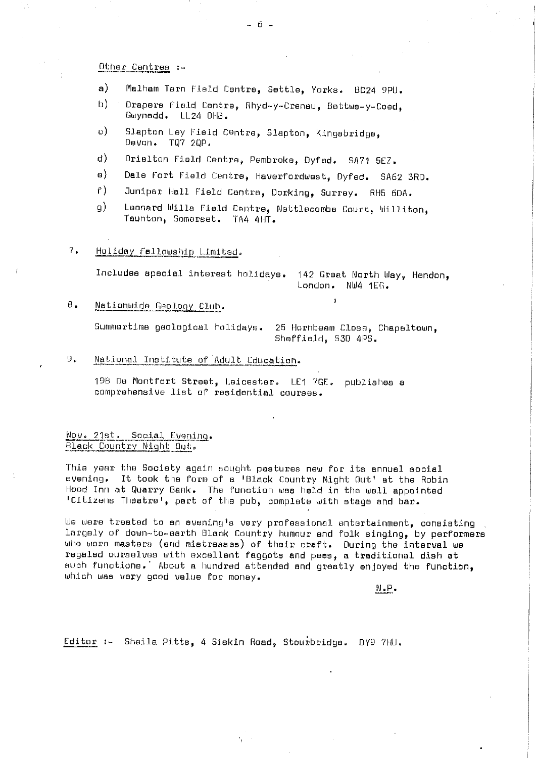### Other Cantres :-

- a) Maihem Tern Field Centre, Settle, Yorks. BD24 9PIJ.
- b) Drapers Field Centre, Rhyd-y-Crenau, Bettws-y-Coed. Gwynedd, LL24 OHO.
- c) Slapton Ley Field Centre, Slapton, Kingsbridge, Devon. TQ7 2QP.
- d) Orielton Field Centre, Pembroke, Dyfed. SA71 SEZ.
- a) Dale Fort Field Centre, Haverfordwest, Dyfed. SA62 3RD.
- f) Juniper Hell Field Centre, Dorking, Surrey. RH5 6DA.
- g) Leonard Wills Field Centre, Nettlecombe Court, Williton, Taunton, Somerset. TA4 4HT.

## 7. Holiday Fellowship Limited.

Includes special interest holidays. 142 Great North Way, Hendon, London. NW4 1Ef. .

u

# B. Nationwide Geology Club.

Summertime geological holidays. 25 Hornbeem Close, Chapeltown, Sheffield, 530 4PS.

# 9. National Institute of Adult Education.

190 De Montfort Street, Leicester. LEI 7GE. publishes a comprehensive list of residential courses.

# Nov. 21st. Social Evening. Black Country Night Out.

This year the Society again sought pastures now for its annual social evening. It took the form of a 'Black Country Night Out' at the Robin Hood Inn at Quarry Bank, The function was held in the well appointed "Citizens 'Theatre', part of the pub, complete with stage and bar.

We were treated to an evening's very professional entertainment, consisting largely or down-to-earth Black Country humour and folk singing, by performers who were masters (end mistresses) of their craft. During the interval we regaled ourselves with excellent faggots and peas, a traditional dish at such functions. About a hundred attended and greatly enjoyed the function, which was very good value for money.

N.P .

Editor :- Sheila Pitts, 4 Siskin Road, Stourbridge. DY9 7HU.

- 6-